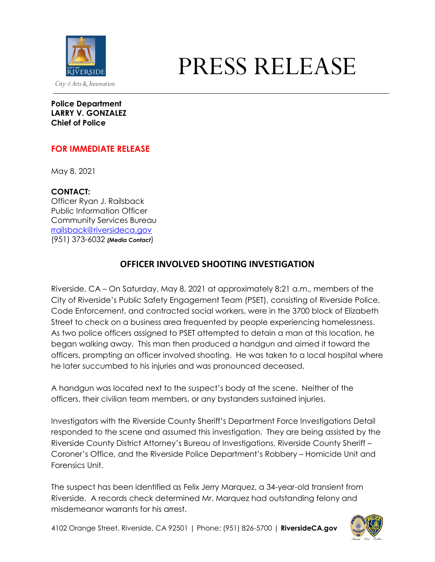

## PRESS RELEASE

**Police Department LARRY V. GONZALEZ Chief of Police**

## **FOR IMMEDIATE RELEASE**

May 8, 2021

**CONTACT:**

Officer Ryan J. Railsback Public Information Officer Community Services Bureau [rrailsback@riversideca.gov](mailto:rrailsback@riversideca.gov) (951) 373-6032 *(Media Contact*)

## **OFFICER INVOLVED SHOOTING INVESTIGATION**

Riverside, CA – On Saturday, May 8, 2021 at approximately 8:21 a.m., members of the City of Riverside's Public Safety Engagement Team (PSET), consisting of Riverside Police, Code Enforcement, and contracted social workers, were in the 3700 block of Elizabeth Street to check on a business area frequented by people experiencing homelessness. As two police officers assigned to PSET attempted to detain a man at this location, he began walking away. This man then produced a handgun and aimed it toward the officers, prompting an officer involved shooting. He was taken to a local hospital where he later succumbed to his injuries and was pronounced deceased.

A handgun was located next to the suspect's body at the scene. Neither of the officers, their civilian team members, or any bystanders sustained injuries.

Investigators with the Riverside County Sheriff's Department Force Investigations Detail responded to the scene and assumed this investigation. They are being assisted by the Riverside County District Attorney's Bureau of Investigations, Riverside County Sheriff – Coroner's Office, and the Riverside Police Department's Robbery – Homicide Unit and Forensics Unit.

The suspect has been identified as Felix Jerry Marquez, a 34-year-old transient from Riverside. A records check determined Mr. Marquez had outstanding felony and misdemeanor warrants for his arrest.

4102 Orange Street, Riverside, CA 92501 | Phone: (951) 826-5700 | **RiversideCA.gov**